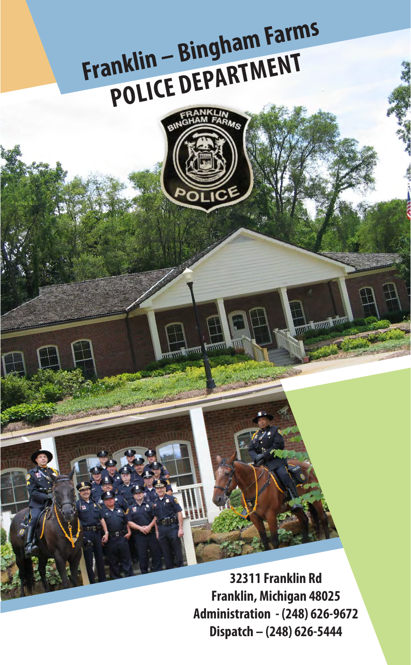## **Franklin – Bingham Farms POLICE DEPARTMENT**

**BING** 

**32311 Franklin Rd Franklin, Michigan 48025 Administration - (248) 626-9672 Dispatch – (248) 626-5444**

**Tumm**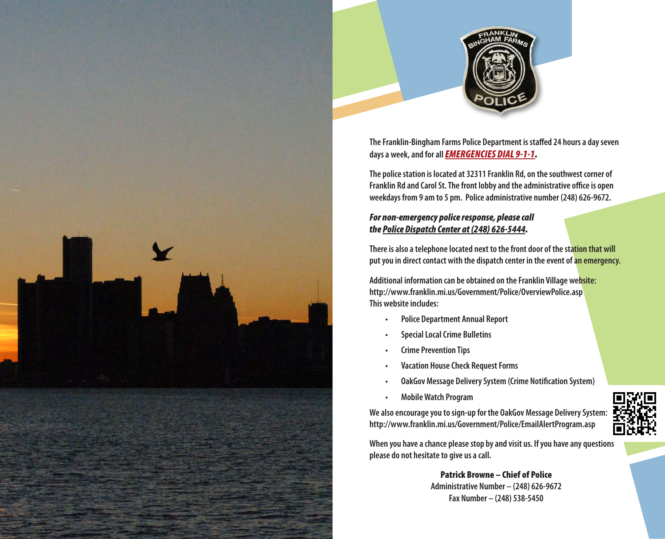

**The Franklin-Bingham Farms Police Department is staffed 24 hours a day seven days a week, and for all** *EMERGENCIES DIAL 9-1-1.*

**The police station is located at 32311 Franklin Rd, on the southwest corner of Franklin Rd and Carol St. The front lobby and the administrative office is open weekdays from 9 am to 5 pm. Police administrative number (248) 626-9672.**

#### *For non-emergency police response, please call the Police Dispatch Center at (248) 626-5444.*

**There is also a telephone located next to the front door of the station that will put you in direct contact with the dispatch center in the event of an emergency.**

**Additional information can be obtained on the Franklin Village website: http://www.franklin.mi.us/Government/Police/OverviewPolice.asp This website includes:**

- **• Police Department Annual Report**
- **• Special Local Crime Bulletins**
- **• Crime Prevention Tips**
- **• Vacation House Check Request Forms**
- **• OakGov Message Delivery System (Crime Notification System)**
- **• Mobile Watch Program**

**We also encourage you to sign-up for the OakGov Message Delivery System: http://www.franklin.mi.us/Government/Police/EmailAlertProgram.asp**



**When you have a chance please stop by and visit us. If you have any questions please do not hesitate to give us a call.** 

> Patrick Browne – Chief of Police **Administrative Number – (248) 626-9672 Fax Number – (248) 538-5450**

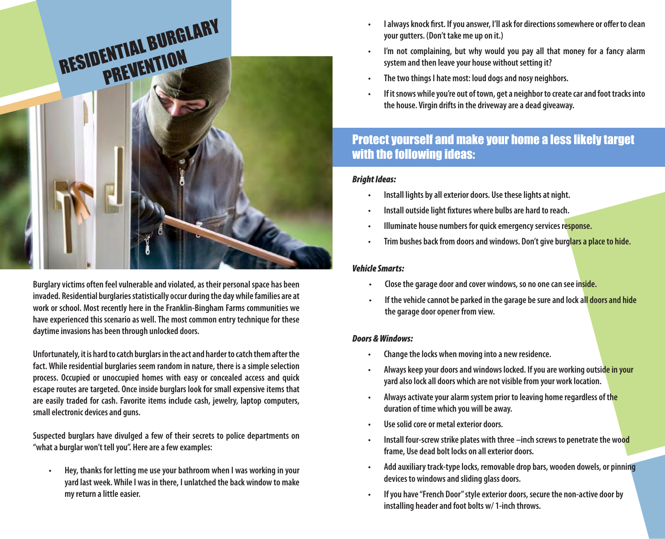

**Burglary victims often feel vulnerable and violated, as their personal space has been invaded. Residential burglaries statistically occur during the day while families are at work or school. Most recently here in the Franklin-Bingham Farms communities we have experienced this scenario as well. The most common entry technique for these daytime invasions has been through unlocked doors.**

**Unfortunately, it is hard to catch burglars in the act and harder to catch them after the fact. While residential burglaries seem random in nature, there is a simple selection process. Occupied or unoccupied homes with easy or concealed access and quick escape routes are targeted. Once inside burglars look for small expensive items that are easily traded for cash. Favorite items include cash, jewelry, laptop computers, small electronic devices and guns.**

**Suspected burglars have divulged a few of their secrets to police departments on "what a burglar won't tell you". Here are a few examples:**

**• Hey, thanks for letting me use your bathroom when I was working in your yard last week. While I was in there, I unlatched the back window to make my return a little easier.**

- **• I always knock first. If you answer, I'll ask for directions somewhere or offer to clean your gutters. (Don't take me up on it.)**
- **• I'm not complaining, but why would you pay all that money for a fancy alarm system and then leave your house without setting it?**
- **• The two things I hate most: loud dogs and nosy neighbors.**
- **• If it snows while you're out of town, get a neighbor to create car and foot tracks into the house. Virgin drifts in the driveway are a dead giveaway.**

#### Protect yourself and make your home a less likely target with the following ideas:

#### *Bright Ideas:*

- **• Install lights by all exterior doors. Use these lights at night.**
- **• Install outside light fixtures where bulbs are hard to reach.**
- **• Illuminate house numbers for quick emergency services response.**
- **• Trim bushes back from doors and windows. Don't give burglars a place to hide.**

#### *Vehicle Smarts:*

- **• Close the garage door and cover windows, so no one can see inside.**
- **• If the vehicle cannot be parked in the garage be sure and lock all doors and hide the garage door opener from view.**

#### *Doors & Windows:*

- **• Change the locks when moving into a new residence.**
- **• Always keep your doors and windows locked. If you are working outside in your yard also lock all doors which are not visible from your work location.**
- **• Always activate your alarm system prior to leaving home regardless of the duration of time which you will be away.**
- **• Use solid core or metal exterior doors.**
- **• Install four-screw strike plates with three –inch screws to penetrate the wood frame, Use dead bolt locks on all exterior doors.**
- **• Add auxiliary track-type locks, removable drop bars, wooden dowels, or pinning devices to windows and sliding glass doors.**
- **• If you have "French Door" style exterior doors, secure the non-active door by installing header and foot bolts w/ 1-inch throws.**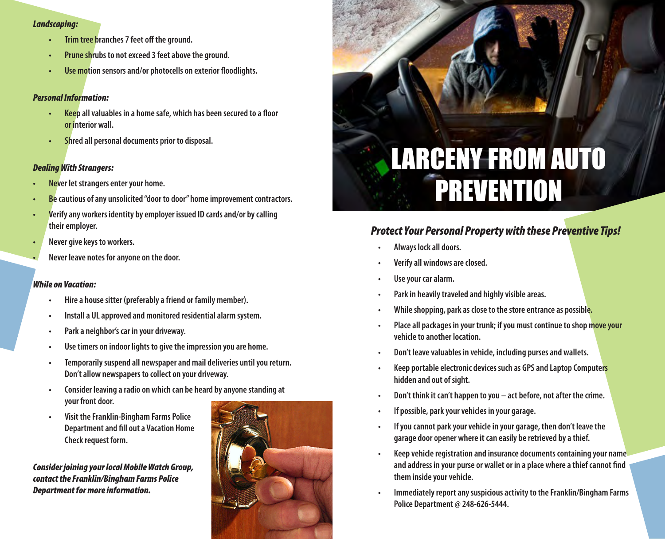#### *Landscaping:*

- **• Trim tree branches 7 feet off the ground.**
- **• Prune shrubs to not exceed 3 feet above the ground.**
- **• Use motion sensors and/or photocells on exterior floodlights.**

#### *Personal Information:*

- **• Keep all valuables in a home safe, which has been secured to a floor or interior wall.**
- **• Shred all personal documents prior to disposal.**

#### *Dealing With Strangers:*

- **• Never let strangers enter your home.**
- **• Be cautious of any unsolicited "door to door" home improvement contractors.**
- **• Verify any workers identity by employer issued ID cards and/or by calling their employer.**
- **• Never give keys to workers.**
- **• Never leave notes for anyone on the door.**

#### *While on Vacation:*

- **• Hire a house sitter (preferably a friend or family member).**
- **• Install a UL approved and monitored residential alarm system.**
- **• Park a neighbor's car in your driveway.**
- **• Use timers on indoor lights to give the impression you are home.**
- **• Temporarily suspend all newspaper and mail deliveries until you return. Don't allow newspapers to collect on your driveway.**
- **• Consider leaving a radio on which can be heard by anyone standing at your front door.**
- **• Visit the Franklin-Bingham Farms Police Department and fill out a Vacation Home Check request form.**

*Consider joining your local Mobile Watch Group, contact the Franklin/Bingham Farms Police Department for more information.*



### LARCENY FROM AUTO **PREVENTION**

#### *Protect Your Personal Property with these Preventive Tips!*

- **• Always lock all doors.**
- **• Verify all windows are closed.**
- **• Use your car alarm.**
- **• Park in heavily traveled and highly visible areas.**
- **• While shopping, park as close to the store entrance as possible.**
- **• Place all packages in your trunk; if you must continue to shop move your vehicle to another location.**
- **• Don't leave valuables in vehicle, including purses and wallets.**
- **• Keep portable electronic devices such as GPS and Laptop Computers hidden and out of sight.**
- **• Don't think it can't happen to you act before, not after the crime.**
- **• If possible, park your vehicles in your garage.**
- **• If you cannot park your vehicle in your garage, then don't leave the garage door opener where it can easily be retrieved by a thief.**
- **• Keep vehicle registration and insurance documents containing your name and address in your purse or wallet or in a place where a thief cannot find them inside your vehicle.**
- **• Immediately report any suspicious activity to the Franklin/Bingham Farms Police Department @ 248-626-5444.**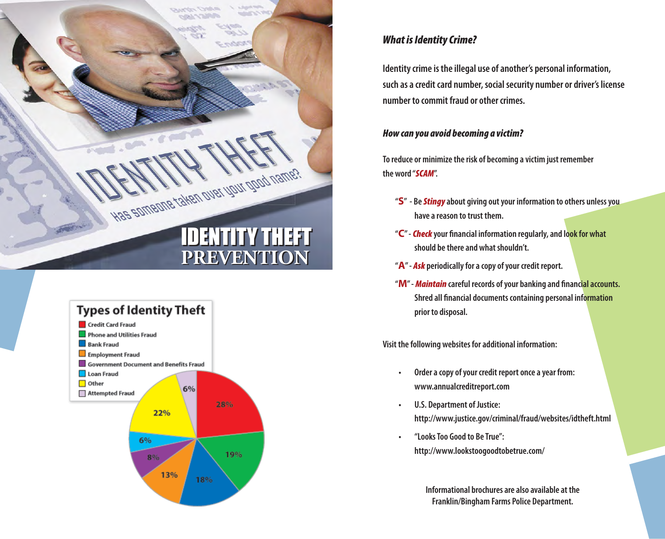



#### *What is Identity Crime?*

**Identity crime is the illegal use of another's personal information, such as a credit card number, social security number or driver's license number to commit fraud or other crimes.**

#### *How can you avoid becoming a victim?*

**To reduce or minimize the risk of becoming a victim just remember the word "***SCAM***".**

- **"S" Be** *Stingy* **about giving out your information to others unless you have a reason to trust them.**
- **"C"** *Check* **your financial information regularly, and look for what should be there and what shouldn't.**
- **"A"** *Ask* **periodically for a copy of your credit report.**
- **"M"** *Maintain* **careful records of your banking and financial accounts. Shred all financial documents containing personal information prior to disposal.**

**Visit the following websites for additional information:** 

- **• Order a copy of your credit report once a year from: www.annualcreditreport.com**
- **• U.S. Department of Justice: http://www.justice.gov/criminal/fraud/websites/idtheft.html**
- **• "Looks Too Good to Be True": http://www.lookstoogoodtobetrue.com/**

**Informational brochures are also available at the Franklin/Bingham Farms Police Department.**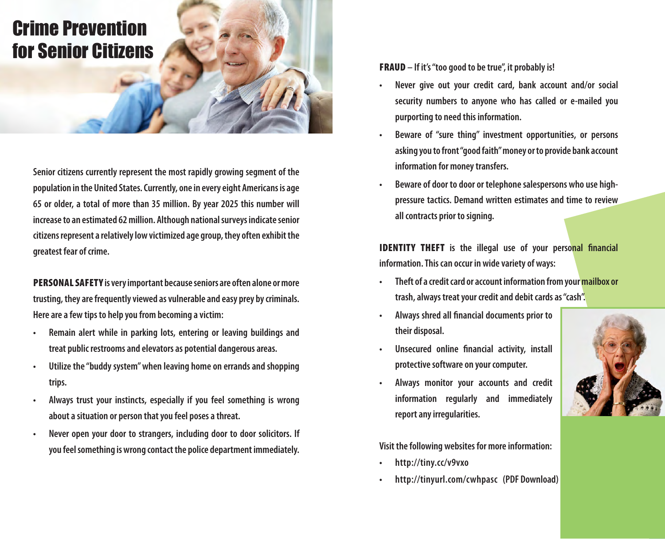### Crime Prevention for Senior Citizens

**Senior citizens currently represent the most rapidly growing segment of the population in the United States. Currently, one in every eight Americans is age 65 or older, a total of more than 35 million. By year 2025 this number will increase to an estimated 62 million. Although national surveys indicate senior citizens represent a relatively low victimized age group, they often exhibit the greatest fear of crime.** 

PERSONAL SAFETY **is very important because seniors are often alone or more trusting, they are frequently viewed as vulnerable and easy prey by criminals. Here are a few tips to help you from becoming a victim:**

- **• Remain alert while in parking lots, entering or leaving buildings and treat public restrooms and elevators as potential dangerous areas.**
- **• Utilize the "buddy system" when leaving home on errands and shopping trips.**
- **• Always trust your instincts, especially if you feel something is wrong about a situation or person that you feel poses a threat.**
- **• Never open your door to strangers, including door to door solicitors. If you feel something is wrong contact the police department immediately.**

FRAUD **– If it's "too good to be true", it probably is!**

- **• Never give out your credit card, bank account and/or social security numbers to anyone who has called or e-mailed you purporting to need this information.**
- **• Beware of "sure thing" investment opportunities, or persons asking you to front "good faith" money or to provide bank account information for money transfers.**
- **• Beware of door to door or telephone salespersons who use highpressure tactics. Demand written estimates and time to review all contracts prior to signing.**

IDENTITY THEFT **is the illegal use of your personal financial information. This can occur in wide variety of ways:** 

- **• Theft of a credit card or account information from your mailbox or trash, always treat your credit and debit cards as "cash".**
- **• Always shred all financial documents prior to their disposal.**
- **• Unsecured online financial activity, install protective software on your computer.**
- **• Always monitor your accounts and credit information regularly and immediately report any irregularities.**

**Visit the following websites for more information:**

- **• http://tiny.cc/v9vxo**
- **• http://tinyurl.com/cwhpasc (PDF Download)**

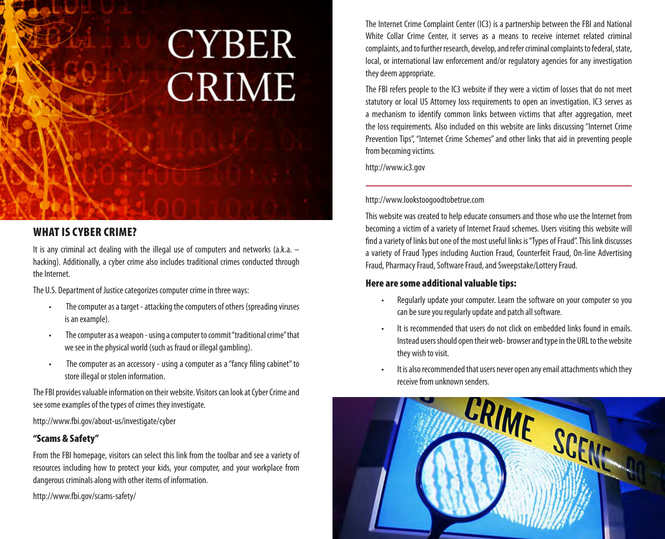# **CYBER CRIME**

#### WHAT IS CYBER CRIME?

It is any criminal act dealing with the illegal use of computers and networks (a.k.a. hacking). Additionally, a cyber crime also includes traditional crimes conducted through the Internet.

The U.S. Department of Justice categorizes computer crime in three ways:

- The computer as a target attacking the computers of others (spreading viruses is an example).
- The computer as a weapon using a computer to commit "traditional crime" that we see in the physical world (such as fraud or illegal gambling).
- The computer as an accessory using a computer as a "fancy filing cabinet" to store illegal or stolen information.

The FBI provides valuable information on their website. Visitors can look at Cyber Crime and see some examples of the types of crimes they investigate.

http://www.fbi.gov/about-us/investigate/cyber

#### "Scams & Safety"

From the FBI homepage, visitors can select this link from the toolbar and see a variety of resources including how to protect your kids, your computer, and your workplace from dangerous criminals along with other items of information.

http://www.fbi.gov/scams-safety/

The Internet Crime Complaint Center (IC3) is a partnership between the FBI and National White Collar Crime Center, it serves as a means to receive internet related criminal complaints, and to further research, develop, and refer criminal complaints to federal, state, local, or international law enforcement and/or regulatory agencies for any investigation they deem appropriate.

The FBI refers people to the IC3 website if they were a victim of losses that do not meet statutory or local US Attorney loss requirements to open an investigation. IC3 serves as a mechanism to identify common links between victims that after aggregation, meet the loss requirements. Also included on this website are links discussing "Internet Crime Prevention Tips", "Internet Crime Schemes" and other links that aid in preventing people from becoming victims.

http://www.ic3.gov

#### http://www.lookstoogoodtobetrue.com

This website was created to help educate consumers and those who use the Internet from becoming a victim of a variety of Internet Fraud schemes. Users visiting this website will find a variety of links but one of the most useful links is "Types of Fraud". This link discusses a variety of Fraud Types including Auction Fraud, Counterfeit Fraud, On-line Advertising Fraud, Pharmacy Fraud, Software Fraud, and Sweepstake/Lottery Fraud.

#### Here are some additional valuable tips:

- Regularly update your computer. Learn the software on your computer so you can be sure you regularly update and patch all software.
- It is recommended that users do not click on embedded links found in emails. Instead users should open their web- browser and type in the URL to the website they wish to visit.
- It is also recommended that users never open any email attachments which they receive from unknown senders.

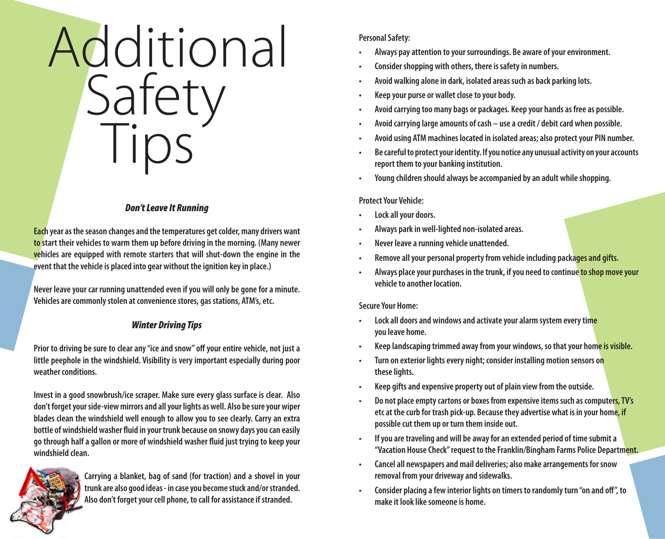Additional Safety Tips

#### *Don't Leave It Running*

**Each year as the season changes and the temperatures get colder, many drivers want to start their vehicles to warm them up before driving in the morning. (Many newer vehicles are equipped with remote starters that will shut-down the engine in the event that the vehicle is placed into gear without the ignition key in place.)** 

**Never leave your car running unattended even if you will only be gone for a minute. Vehicles are commonly stolen at convenience stores, gas stations, ATM's, etc.** 

#### *Winter Driving Tips*

**Prior to driving be sure to clear any "ice and snow" off your entire vehicle, not just a little peephole in the windshield. Visibility is very important especially during poor weather conditions.**

**Invest in a good snowbrush/ice scraper. Make sure every glass surface is clear. Also don't forget your side-view mirrors and all your lights as well. Also be sure your wiper blades clean the windshield well enough to allow you to see clearly. Carry an extra bottle of windshield washer fluid in your trunk because on snowy days you can easily go through half a gallon or more of windshield washer fluid just trying to keep your windshield clean.** 



**Carrying a blanket, bag of sand (for traction) and a shovel in your trunk are also good ideas - in case you become stuck and/or stranded. Also don't forget your cell phone, to call for assistance if stranded.**

#### **Personal Safety:**

- **• Always pay attention to your surroundings. Be aware of your environment.**
- **• Consider shopping with others, there is safety in numbers.**
- **• Avoid walking alone in dark, isolated areas such as back parking lots.**
- **• Keep your purse or wallet close to your body.**
- **• Avoid carrying too many bags or packages. Keep your hands as free as possible.**
- **• Avoid carrying large amounts of cash use a credit / debit card when possible.**
- **• Avoid using ATM machines located in isolated areas; also protect your PIN number.**
- **• Be careful to protect your identity. If you notice any unusual activity on your accounts report them to your banking institution.**
- **• Young children should always be accompanied by an adult while shopping.**

#### **Protect Your Vehicle:**

- **• Lock all your doors.**
- **• Always park in well-lighted non-isolated areas.**
- **• Never leave a running vehicle unattended.**
- **• Remove all your personal property from vehicle including packages and gifts.**
- **• Always place your purchases in the trunk, if you need to continue to shop move your vehicle to another location.**

**Secure Your Home:**

- **• Lock all doors and windows and activate your alarm system every time you leave home.**
- **• Keep landscaping trimmed away from your windows, so that your home is visible.**
- **• Turn on exterior lights every night; consider installing motion sensors on these lights.**
- **• Keep gifts and expensive property out of plain view from the outside.**
- **• Do not place empty cartons or boxes from expensive items such as computers, TV's etc at the curb for trash pick-up. Because they advertise what is in your home, if possible cut them up or turn them inside out.**
- **• If you are traveling and will be away for an extended period of time submit a "Vacation House Check" request to the Franklin/Bingham Farms Police Department.**
- **• Cancel all newspapers and mail deliveries; also make arrangements for snow removal from your driveway and sidewalks.**
- **• Consider placing a few interior lights on timers to randomly turn "on and off", to make it look like someone is home.**